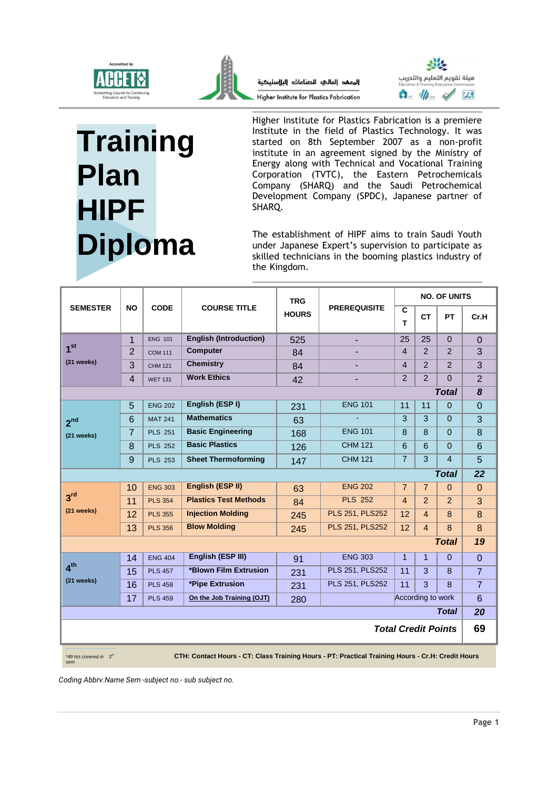



المعهد العالى للصناعات البااسنيكية Higher Institute for Plastics Fabrication



## **Training Plan HIPF Diploma**

Higher Institute for Plastics Fabrication is a premiere Institute in the field of Plastics Technology. It was started on 8th September 2007 as a non-profit institute in an agreement signed by the Ministry of Energy along with Technical and Vocational Training Corporation (TVTC), the Eastern Petrochemicals Company (SHARQ) and the Saudi Petrochemical Development Company (SPDC), Japanese partner of SHARQ.

The establishment of HIPF aims to train Saudi Youth under Japanese Expert's supervision to participate as skilled technicians in the booming plastics industry of the Kingdom.

| <b>SEMESTER</b>                                                                                                                      | <b>NO</b>      | <b>CODE</b>    | <b>COURSE TITLE</b>           | <b>TRG</b><br><b>HOURS</b> | <b>PREREQUISITE</b>    | <b>NO. OF UNITS</b>  |                   |                |                |  |
|--------------------------------------------------------------------------------------------------------------------------------------|----------------|----------------|-------------------------------|----------------------------|------------------------|----------------------|-------------------|----------------|----------------|--|
|                                                                                                                                      |                |                |                               |                            |                        | $\overline{c}$<br>T. | <b>CT</b>         | <b>PT</b>      | Cr.H           |  |
|                                                                                                                                      | 1              | <b>ENG 101</b> | <b>English (Introduction)</b> | 525                        |                        | 25                   | 25                | $\Omega$       | $\Omega$       |  |
| 1 <sup>st</sup>                                                                                                                      | $\overline{2}$ | <b>COM 111</b> | <b>Computer</b>               | 84                         |                        | $\overline{4}$       | 2                 | 2              | 3              |  |
| (21 weeks)                                                                                                                           | 3              | <b>CHM 121</b> | <b>Chemistry</b>              | 84                         |                        | $\overline{4}$       | 2                 | 2              | 3              |  |
|                                                                                                                                      | $\overline{4}$ | <b>WET 131</b> | <b>Work Ethics</b>            | 42                         |                        | $\overline{2}$       | 2                 | $\Omega$       | $\overline{2}$ |  |
| 8<br><b>Total</b>                                                                                                                    |                |                |                               |                            |                        |                      |                   |                |                |  |
|                                                                                                                                      | 5              | <b>ENG 202</b> | English (ESPI)                | 231                        | <b>ENG 101</b>         | 11                   | 11                | $\Omega$       | $\Omega$       |  |
| 2 <sup>nd</sup>                                                                                                                      | 6              | <b>MAT 241</b> | <b>Mathematics</b>            | 63                         |                        | 3                    | 3                 | $\Omega$       | 3              |  |
| (21 weeks)                                                                                                                           | $\overline{7}$ | <b>PLS 251</b> | <b>Basic Engineering</b>      | 168                        | <b>ENG 101</b>         | 8                    | 8                 | $\Omega$       | 8              |  |
|                                                                                                                                      | 8              | <b>PLS 252</b> | <b>Basic Plastics</b>         | 126                        | <b>CHM 121</b>         | 6                    | 6                 | $\Omega$       | 6              |  |
|                                                                                                                                      | 9              | <b>PLS 253</b> | <b>Sheet Thermoforming</b>    | 147                        | <b>CHM 121</b>         | $\overline{7}$       | 3                 | $\overline{4}$ | 5              |  |
| <b>Total</b>                                                                                                                         |                |                |                               |                            |                        |                      |                   |                |                |  |
|                                                                                                                                      | 10             | <b>ENG 303</b> | English (ESP II)              | 63                         | <b>ENG 202</b>         | $\overline{7}$       | $\overline{7}$    | $\Omega$       | $\Omega$       |  |
| 3 <sup>rd</sup>                                                                                                                      | 11             | <b>PLS 354</b> | <b>Plastics Test Methods</b>  | 84                         | <b>PLS 252</b>         | $\overline{4}$       | 2                 | 2              | 3              |  |
| (21 weeks)                                                                                                                           | 12             | <b>PLS 355</b> | <b>Injection Molding</b>      | 245                        | <b>PLS 251, PLS252</b> | 12                   | $\overline{4}$    | $\mathbf{8}$   | 8              |  |
|                                                                                                                                      | 13             | <b>PLS 356</b> | <b>Blow Molding</b>           | 245                        | PLS 251, PLS252        | 12                   | $\overline{4}$    | 8              | 8              |  |
| <b>Total</b><br>19                                                                                                                   |                |                |                               |                            |                        |                      |                   |                |                |  |
|                                                                                                                                      | 14             | <b>ENG 404</b> | English (ESP III)             | 91                         | <b>ENG 303</b>         | $\mathbf{1}$         | $\mathbf{1}$      | $\Omega$       | $\Omega$       |  |
| 4 <sup>th</sup>                                                                                                                      | 15             | <b>PLS 457</b> | *Blown Film Extrusion         | 231                        | <b>PLS 251, PLS252</b> | 11                   | 3                 | 8              | $\overline{7}$ |  |
| (21 weeks)                                                                                                                           | 16             | <b>PLS 458</b> | *Pipe Extrusion               | 231                        | PLS 251, PLS252        | 11                   | 3                 | $\mathbf{8}$   | $\overline{7}$ |  |
|                                                                                                                                      | 17             | <b>PLS 459</b> | On the Job Training (OJT)     | 280                        |                        |                      | According to work |                | 6              |  |
|                                                                                                                                      |                |                |                               |                            |                        |                      |                   | <b>Total</b>   | 20             |  |
| <b>Total Credit Points</b>                                                                                                           |                |                |                               |                            |                        |                      |                   | 69             |                |  |
| CTH: Contact Hours - CT: Class Training Hours - PT: Practical Training Hours - Cr.H: Credit Hours<br>*49 hrs covered in $3^d$<br>sem |                |                |                               |                            |                        |                      |                   |                |                |  |

*Coding Abbrv.Name Sem -subject no.- sub subject no.*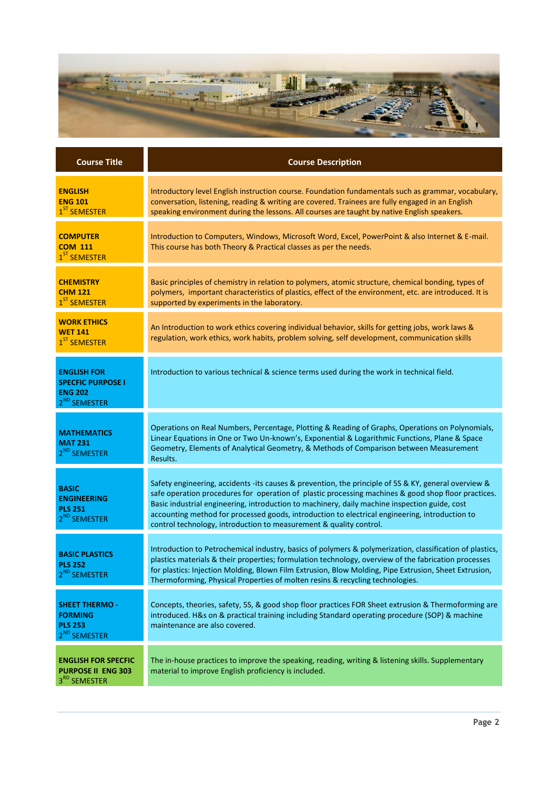

| <b>Course Title</b>                                                                          | <b>Course Description</b>                                                                                                                                                                                                                                                                                                                                                                                                                                                            |
|----------------------------------------------------------------------------------------------|--------------------------------------------------------------------------------------------------------------------------------------------------------------------------------------------------------------------------------------------------------------------------------------------------------------------------------------------------------------------------------------------------------------------------------------------------------------------------------------|
| <b>ENGLISH</b><br><b>ENG 101</b><br>1 <sup>ST</sup> SEMESTER                                 | Introductory level English instruction course. Foundation fundamentals such as grammar, vocabulary,<br>conversation, listening, reading & writing are covered. Trainees are fully engaged in an English<br>speaking environment during the lessons. All courses are taught by native English speakers.                                                                                                                                                                               |
| <b>COMPUTER</b><br><b>COM 111</b><br>1 <sup>ST</sup> SEMESTER                                | Introduction to Computers, Windows, Microsoft Word, Excel, PowerPoint & also Internet & E-mail.<br>This course has both Theory & Practical classes as per the needs.                                                                                                                                                                                                                                                                                                                 |
| <b>CHEMISTRY</b><br><b>CHM 121</b><br>1 <sup>ST</sup> SEMESTER                               | Basic principles of chemistry in relation to polymers, atomic structure, chemical bonding, types of<br>polymers, important characteristics of plastics, effect of the environment, etc. are introduced. It is<br>supported by experiments in the laboratory.                                                                                                                                                                                                                         |
| <b>WORK ETHICS</b><br><b>WET 141</b><br>1 <sup>ST</sup> SEMESTER                             | An Introduction to work ethics covering individual behavior, skills for getting jobs, work laws &<br>regulation, work ethics, work habits, problem solving, self development, communication skills                                                                                                                                                                                                                                                                                   |
| <b>ENGLISH FOR</b><br><b>SPECFIC PURPOSE I</b><br><b>ENG 202</b><br>2 <sup>ND</sup> SEMESTER | Introduction to various technical & science terms used during the work in technical field.                                                                                                                                                                                                                                                                                                                                                                                           |
| <b>MATHEMATICS</b><br><b>MAT 231</b><br>2 <sup>ND</sup> SEMESTER                             | Operations on Real Numbers, Percentage, Plotting & Reading of Graphs, Operations on Polynomials,<br>Linear Equations in One or Two Un-known's, Exponential & Logarithmic Functions, Plane & Space<br>Geometry, Elements of Analytical Geometry, & Methods of Comparison between Measurement<br>Results.                                                                                                                                                                              |
| <b>BASIC</b><br><b>ENGINEERING</b><br><b>PLS 251</b><br>2 <sup>ND</sup> SEMESTER             | Safety engineering, accidents -its causes & prevention, the principle of 5S & KY, general overview &<br>safe operation procedures for operation of plastic processing machines & good shop floor practices.<br>Basic industrial engineering, introduction to machinery, daily machine inspection guide, cost<br>accounting method for processed goods, introduction to electrical engineering, introduction to<br>control technology, introduction to measurement & quality control. |
| <b>BASIC PLASTICS</b><br><b>PLS 252</b><br>2 <sup>ND</sup> SEMESTER                          | Introduction to Petrochemical industry, basics of polymers & polymerization, classification of plastics,<br>plastics materials & their properties; formulation technology, overview of the fabrication processes<br>for plastics: Injection Molding, Blown Film Extrusion, Blow Molding, Pipe Extrusion, Sheet Extrusion,<br>Thermoforming, Physical Properties of molten resins & recycling technologies.                                                                           |
| <b>SHEET THERMO -</b><br><b>FORMING</b><br><b>PLS 253</b><br>2 <sup>ND</sup> SEMESTER        | Concepts, theories, safety, 5S, & good shop floor practices FOR Sheet extrusion & Thermoforming are<br>introduced. H&s on & practical training including Standard operating procedure (SOP) & machine<br>maintenance are also covered.                                                                                                                                                                                                                                               |
| <b>ENGLISH FOR SPECFIC</b><br><b>PURPOSE II ENG 303</b><br>3RD SEMESTER                      | The in-house practices to improve the speaking, reading, writing & listening skills. Supplementary<br>material to improve English proficiency is included.                                                                                                                                                                                                                                                                                                                           |